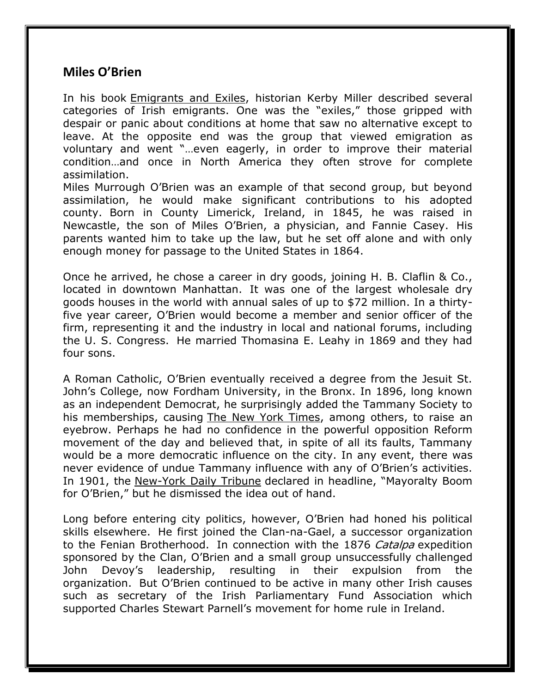## **Miles O'Brien**

In his book Emigrants and Exiles, historian Kerby Miller described several categories of Irish emigrants. One was the "exiles," those gripped with despair or panic about conditions at home that saw no alternative except to leave. At the opposite end was the group that viewed emigration as voluntary and went "…even eagerly, in order to improve their material condition…and once in North America they often strove for complete assimilation.

Miles Murrough O'Brien was an example of that second group, but beyond assimilation, he would make significant contributions to his adopted county. Born in County Limerick, Ireland, in 1845, he was raised in Newcastle, the son of Miles O'Brien, a physician, and Fannie Casey. His parents wanted him to take up the law, but he set off alone and with only enough money for passage to the United States in 1864.

Once he arrived, he chose a career in dry goods, joining H. B. Claflin & Co., located in downtown Manhattan. It was one of the largest wholesale dry goods houses in the world with annual sales of up to \$72 million. In a thirtyfive year career, O'Brien would become a member and senior officer of the firm, representing it and the industry in local and national forums, including the U. S. Congress. He married Thomasina E. Leahy in 1869 and they had four sons.

A Roman Catholic, O'Brien eventually received a degree from the Jesuit St. John's College, now Fordham University, in the Bronx. In 1896, long known as an independent Democrat, he surprisingly added the Tammany Society to his memberships, causing The New York Times, among others, to raise an eyebrow. Perhaps he had no confidence in the powerful opposition Reform movement of the day and believed that, in spite of all its faults, Tammany would be a more democratic influence on the city. In any event, there was never evidence of undue Tammany influence with any of O'Brien's activities. In 1901, the New-York Daily Tribune declared in headline, "Mayoralty Boom for O'Brien," but he dismissed the idea out of hand.

Long before entering city politics, however, O'Brien had honed his political skills elsewhere. He first joined the Clan-na-Gael, a successor organization to the Fenian Brotherhood. In connection with the 1876 Catalpa expedition sponsored by the Clan, O'Brien and a small group unsuccessfully challenged John Devoy's leadership, resulting in their expulsion from the organization. But O'Brien continued to be active in many other Irish causes such as secretary of the Irish Parliamentary Fund Association which supported Charles Stewart Parnell's movement for home rule in Ireland.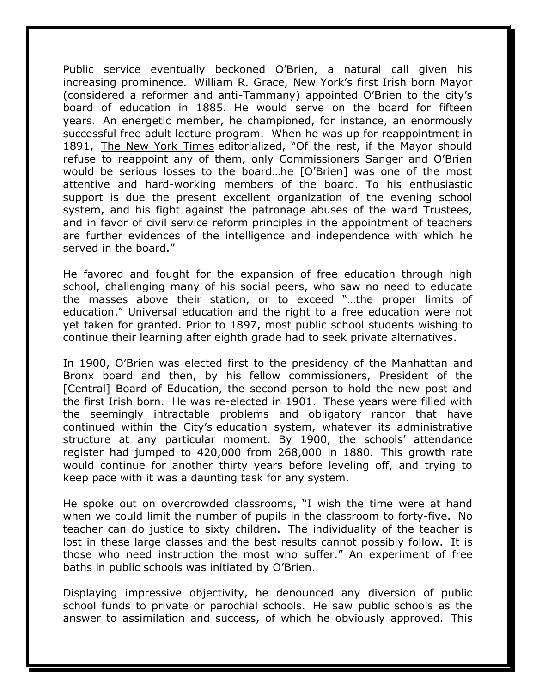Public service eventually beckoned O'Brien, a natural call given his increasing prominence. William R. Grace, New York's first Irish born Mayor (considered a reformer and anti-Tammany) appointed O'Brien to the city's board of education in 1885. He would serve on the board for fifteen years. An energetic member, he championed, for instance, an enormously successful free adult lecture program. When he was up for reappointment in 1891, The New York Times editorialized, "Of the rest, if the Mayor should refuse to reappoint any of them, only Commissioners Sanger and O'Brien would be serious losses to the board…he [O'Brien] was one of the most attentive and hard-working members of the board. To his enthusiastic support is due the present excellent organization of the evening school system, and his fight against the patronage abuses of the ward Trustees, and in favor of civil service reform principles in the appointment of teachers are further evidences of the intelligence and independence with which he served in the board."

He favored and fought for the expansion of free education through high school, challenging many of his social peers, who saw no need to educate the masses above their station, or to exceed "…the proper limits of education." Universal education and the right to a free education were not yet taken for granted. Prior to 1897, most public school students wishing to continue their learning after eighth grade had to seek private alternatives.

In 1900, O'Brien was elected first to the presidency of the Manhattan and Bronx board and then, by his fellow commissioners, President of the [Central] Board of Education, the second person to hold the new post and the first Irish born. He was re-elected in 1901. These years were filled with the seemingly intractable problems and obligatory rancor that have continued within the City's education system, whatever its administrative structure at any particular moment. By 1900, the schools' attendance register had jumped to 420,000 from 268,000 in 1880. This growth rate would continue for another thirty years before leveling off, and trying to keep pace with it was a daunting task for any system.

He spoke out on overcrowded classrooms, "I wish the time were at hand when we could limit the number of pupils in the classroom to forty-five. No teacher can do justice to sixty children. The individuality of the teacher is lost in these large classes and the best results cannot possibly follow. It is those who need instruction the most who suffer." An experiment of free baths in public schools was initiated by O'Brien.

Displaying impressive objectivity, he denounced any diversion of public school funds to private or parochial schools. He saw public schools as the answer to assimilation and success, of which he obviously approved. This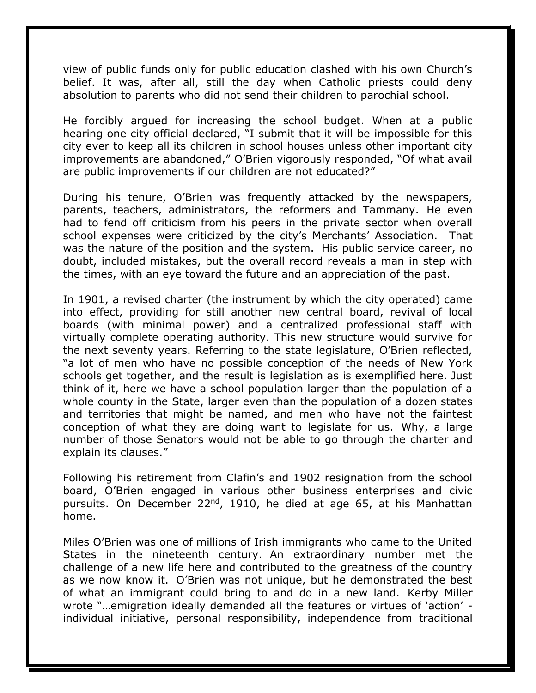view of public funds only for public education clashed with his own Church's belief. It was, after all, still the day when Catholic priests could deny absolution to parents who did not send their children to parochial school.

He forcibly argued for increasing the school budget. When at a public hearing one city official declared, "I submit that it will be impossible for this city ever to keep all its children in school houses unless other important city improvements are abandoned," O'Brien vigorously responded, "Of what avail are public improvements if our children are not educated?"

During his tenure, O'Brien was frequently attacked by the newspapers, parents, teachers, administrators, the reformers and Tammany. He even had to fend off criticism from his peers in the private sector when overall school expenses were criticized by the city's Merchants' Association. That was the nature of the position and the system. His public service career, no doubt, included mistakes, but the overall record reveals a man in step with the times, with an eye toward the future and an appreciation of the past.

In 1901, a revised charter (the instrument by which the city operated) came into effect, providing for still another new central board, revival of local boards (with minimal power) and a centralized professional staff with virtually complete operating authority. This new structure would survive for the next seventy years. Referring to the state legislature, O'Brien reflected, "a lot of men who have no possible conception of the needs of New York schools get together, and the result is legislation as is exemplified here. Just think of it, here we have a school population larger than the population of a whole county in the State, larger even than the population of a dozen states and territories that might be named, and men who have not the faintest conception of what they are doing want to legislate for us. Why, a large number of those Senators would not be able to go through the charter and explain its clauses."

Following his retirement from Clafin's and 1902 resignation from the school board, O'Brien engaged in various other business enterprises and civic pursuits. On December 22<sup>nd</sup>, 1910, he died at age 65, at his Manhattan home.

Miles O'Brien was one of millions of Irish immigrants who came to the United States in the nineteenth century. An extraordinary number met the challenge of a new life here and contributed to the greatness of the country as we now know it. O'Brien was not unique, but he demonstrated the best of what an immigrant could bring to and do in a new land. Kerby Miller wrote "…emigration ideally demanded all the features or virtues of 'action' individual initiative, personal responsibility, independence from traditional